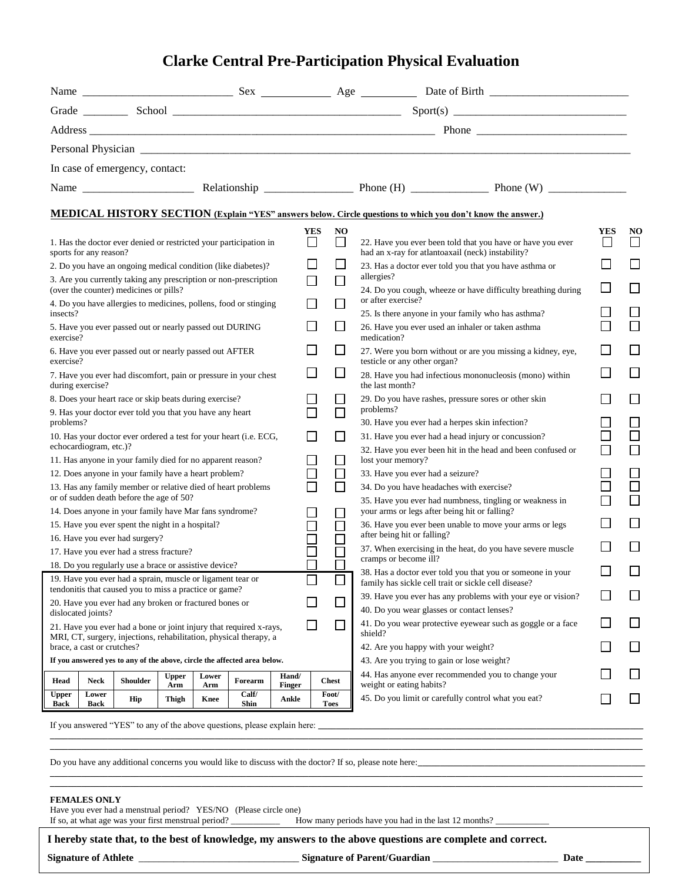## **Clarke Central Pre-Participation Physical Evaluation**

|                                                                                                                                                           |                        |                                                                                                                    |                     |              |                                                                   |                 |     |                                                                        | Personal Physician experience and the contract of the contract of the contract of the contract of the contract of the contract of the contract of the contract of the contract of the contract of the contract of the contract |            |                             |  |
|-----------------------------------------------------------------------------------------------------------------------------------------------------------|------------------------|--------------------------------------------------------------------------------------------------------------------|---------------------|--------------|-------------------------------------------------------------------|-----------------|-----|------------------------------------------------------------------------|--------------------------------------------------------------------------------------------------------------------------------------------------------------------------------------------------------------------------------|------------|-----------------------------|--|
|                                                                                                                                                           |                        | In case of emergency, contact:                                                                                     |                     |              |                                                                   |                 |     |                                                                        |                                                                                                                                                                                                                                |            |                             |  |
|                                                                                                                                                           |                        |                                                                                                                    |                     |              |                                                                   |                 |     |                                                                        |                                                                                                                                                                                                                                |            |                             |  |
|                                                                                                                                                           |                        |                                                                                                                    |                     |              |                                                                   |                 |     |                                                                        |                                                                                                                                                                                                                                |            |                             |  |
|                                                                                                                                                           |                        |                                                                                                                    |                     |              |                                                                   |                 |     |                                                                        | <b>MEDICAL HISTORY SECTION (Explain "YES" answers below. Circle questions to which you don't know the answer.)</b>                                                                                                             |            |                             |  |
|                                                                                                                                                           | sports for any reason? |                                                                                                                    |                     |              | 1. Has the doctor ever denied or restricted your participation in |                 | YES | N <sub>O</sub><br>$\Box$                                               | 22. Have you ever been told that you have or have you ever<br>had an x-ray for atlantoaxail (neck) instability?                                                                                                                | <b>YES</b> | NO                          |  |
|                                                                                                                                                           |                        |                                                                                                                    |                     |              | 2. Do you have an ongoing medical condition (like diabetes)?      |                 |     |                                                                        | 23. Has a doctor ever told you that you have asthma or                                                                                                                                                                         |            |                             |  |
|                                                                                                                                                           |                        | (over the counter) medicines or pills?                                                                             |                     |              | 3. Are you currently taking any prescription or non-prescription  |                 |     |                                                                        | allergies?<br>24. Do you cough, wheeze or have difficulty breathing during                                                                                                                                                     |            |                             |  |
| insects?                                                                                                                                                  |                        |                                                                                                                    |                     |              | 4. Do you have allergies to medicines, pollens, food or stinging  |                 |     |                                                                        | or after exercise?<br>25. Is there anyone in your family who has asthma?                                                                                                                                                       |            |                             |  |
| exercise?                                                                                                                                                 |                        | 5. Have you ever passed out or nearly passed out DURING                                                            |                     |              |                                                                   |                 |     | $\overline{\phantom{a}}$                                               | 26. Have you ever used an inhaler or taken asthma<br>medication?                                                                                                                                                               |            |                             |  |
| 6. Have you ever passed out or nearly passed out AFTER<br>exercise?                                                                                       |                        |                                                                                                                    |                     |              |                                                                   |                 |     | $\blacksquare$                                                         | 27. Were you born without or are you missing a kidney, eye,<br>testicle or any other organ?                                                                                                                                    |            |                             |  |
| 7. Have you ever had discomfort, pain or pressure in your chest<br>during exercise?                                                                       |                        |                                                                                                                    |                     |              |                                                                   |                 |     | $\Box$                                                                 | 28. Have you had infectious mononucleosis (mono) within<br>the last month?                                                                                                                                                     |            |                             |  |
| 8. Does your heart race or skip beats during exercise?                                                                                                    |                        |                                                                                                                    |                     |              |                                                                   |                 |     |                                                                        | 29. Do you have rashes, pressure sores or other skin                                                                                                                                                                           |            |                             |  |
| 9. Has your doctor ever told you that you have any heart<br>problems?                                                                                     |                        |                                                                                                                    |                     |              |                                                                   |                 |     |                                                                        | problems?<br>30. Have you ever had a herpes skin infection?                                                                                                                                                                    |            |                             |  |
| 10. Has your doctor ever ordered a test for your heart (i.e. ECG,                                                                                         |                        |                                                                                                                    |                     |              |                                                                   |                 |     |                                                                        | 31. Have you ever had a head injury or concussion?                                                                                                                                                                             |            |                             |  |
|                                                                                                                                                           | echocardiogram, etc.)? |                                                                                                                    |                     |              |                                                                   |                 |     |                                                                        | 32. Have you ever been hit in the head and been confused or                                                                                                                                                                    |            | $\Box$                      |  |
|                                                                                                                                                           |                        | 11. Has anyone in your family died for no apparent reason?<br>12. Does anyone in your family have a heart problem? |                     |              |                                                                   |                 |     |                                                                        | lost your memory?<br>33. Have you ever had a seizure?                                                                                                                                                                          |            |                             |  |
|                                                                                                                                                           |                        |                                                                                                                    |                     |              | 13. Has any family member or relative died of heart problems      |                 |     |                                                                        | 34. Do you have headaches with exercise?                                                                                                                                                                                       |            |                             |  |
|                                                                                                                                                           |                        | or of sudden death before the age of 50?                                                                           |                     |              |                                                                   |                 |     |                                                                        | 35. Have you ever had numbness, tingling or weakness in                                                                                                                                                                        |            |                             |  |
|                                                                                                                                                           |                        | 14. Does anyone in your family have Mar fans syndrome?                                                             |                     |              |                                                                   |                 |     |                                                                        | your arms or legs after being hit or falling?                                                                                                                                                                                  |            |                             |  |
| 15. Have you ever spent the night in a hospital?                                                                                                          |                        |                                                                                                                    |                     |              |                                                                   |                 |     |                                                                        | 36. Have you ever been unable to move your arms or legs<br>after being hit or falling?                                                                                                                                         |            |                             |  |
| 16. Have you ever had surgery?<br>17. Have you ever had a stress fracture?                                                                                |                        |                                                                                                                    |                     |              |                                                                   |                 |     |                                                                        | 37. When exercising in the heat, do you have severe muscle                                                                                                                                                                     |            |                             |  |
|                                                                                                                                                           |                        | 18. Do you regularly use a brace or assistive device?                                                              |                     |              |                                                                   |                 |     |                                                                        | cramps or become ill?                                                                                                                                                                                                          |            |                             |  |
|                                                                                                                                                           |                        | 19. Have you ever had a sprain, muscle or ligament tear or                                                         |                     |              |                                                                   |                 |     | $\Box$                                                                 | 38. Has a doctor ever told you that you or someone in your<br>family has sickle cell trait or sickle cell disease?                                                                                                             |            |                             |  |
| tendonitis that caused you to miss a practice or game?<br>20. Have you ever had any broken or fractured bones or                                          |                        |                                                                                                                    |                     |              |                                                                   |                 |     |                                                                        | 39. Have you ever has any problems with your eye or vision?                                                                                                                                                                    |            |                             |  |
| dislocated joints?                                                                                                                                        |                        |                                                                                                                    |                     |              |                                                                   |                 |     |                                                                        | 40. Do you wear glasses or contact lenses?                                                                                                                                                                                     |            |                             |  |
| $\blacksquare$<br>21. Have you ever had a bone or joint injury that required x-rays,<br>MRI, CT, surgery, injections, rehabilitation, physical therapy, a |                        |                                                                                                                    |                     |              |                                                                   |                 |     | 41. Do you wear protective eyewear such as goggle or a face<br>shield? |                                                                                                                                                                                                                                | $\Box$     |                             |  |
| brace, a cast or crutches?                                                                                                                                |                        |                                                                                                                    |                     |              |                                                                   |                 |     |                                                                        | 42. Are you happy with your weight?                                                                                                                                                                                            |            | $\mathcal{L}_{\mathcal{A}}$ |  |
| If you answered yes to any of the above, circle the affected area below.                                                                                  |                        |                                                                                                                    |                     |              |                                                                   |                 |     |                                                                        | 43. Are you trying to gain or lose weight?<br>44. Has anyone ever recommended you to change your                                                                                                                               |            | $\Box$                      |  |
| Head                                                                                                                                                      | <b>Neck</b>            | Shoulder                                                                                                           | <b>Upper</b><br>Arm | Lower<br>Arm | Forearm                                                           | Hand/<br>Finger |     | <b>Chest</b>                                                           | weight or eating habits?                                                                                                                                                                                                       |            |                             |  |
| <b>Upper</b><br>Back                                                                                                                                      | Lower<br>Back          | Hip                                                                                                                | Thigh               | Knee         | Calf/<br>Shin                                                     | Ankle           |     | Foot/<br><b>Toes</b>                                                   | 45. Do you limit or carefully control what you eat?                                                                                                                                                                            |            | $\mathcal{L}_{\mathcal{A}}$ |  |

If you answered "YES" to any of the above questions, please explain here:  $\_\_$ 

Do you have any additional concerns you would like to discuss with the doctor? If so, please note here:

## **FEMALES ONLY**

Have you ever had a menstrual period? YES/NO (Please circle one)

If so, at what age was your first menstrual period? \_\_\_\_\_\_\_\_\_\_\_ How many periods have you had in the last 12 months? \_\_\_\_\_\_\_\_\_\_\_\_

**I hereby state that, to the best of knowledge, my answers to the above questions are complete and correct.**

**Signature of Athlete** \_\_\_\_\_\_\_\_\_\_\_\_\_\_\_\_\_\_\_\_\_\_\_\_\_\_\_\_\_\_\_\_ **Signature of Parent/Guardian** \_\_\_\_\_\_\_\_\_\_\_\_\_\_\_\_\_\_\_\_\_\_\_\_\_ **Date \_\_\_\_\_\_\_\_\_\_\_**

**\_\_\_\_\_\_\_\_\_\_\_\_\_\_\_\_\_\_\_\_\_\_\_\_\_\_\_\_\_\_\_\_\_\_\_\_\_\_\_\_\_\_\_\_\_\_\_\_\_\_\_\_\_\_\_\_\_\_\_\_\_\_\_\_\_\_\_\_\_\_\_\_\_\_\_\_\_\_\_\_\_\_\_\_\_\_\_\_\_\_\_\_\_\_\_\_\_\_\_\_\_\_\_\_\_\_\_\_\_\_\_\_\_\_\_\_\_\_\_\_\_\_\_\_\_\_\_\_\_\_\_\_\_ \_\_\_\_\_\_\_\_\_\_\_\_\_\_\_\_\_\_\_\_\_\_\_\_\_\_\_\_\_\_\_\_\_\_\_\_\_\_\_\_\_\_\_\_\_\_\_\_\_\_\_\_\_\_\_\_\_\_\_\_\_\_\_\_\_\_\_\_\_\_\_\_\_\_\_\_\_\_\_\_\_\_\_\_\_\_\_\_\_\_\_\_\_\_\_\_\_\_\_\_\_\_\_\_\_\_\_\_\_\_\_\_\_\_\_\_\_\_\_\_\_\_\_\_\_\_\_\_\_\_\_\_\_**

**\_\_\_\_\_\_\_\_\_\_\_\_\_\_\_\_\_\_\_\_\_\_\_\_\_\_\_\_\_\_\_\_\_\_\_\_\_\_\_\_\_\_\_\_\_\_\_\_\_\_\_\_\_\_\_\_\_\_\_\_\_\_\_\_\_\_\_\_\_\_\_\_\_\_\_\_\_\_\_\_\_\_\_\_\_\_\_\_\_\_\_\_\_\_\_\_\_\_\_\_\_\_\_\_\_\_\_\_\_\_\_\_\_\_\_\_\_\_\_\_\_\_\_\_\_\_\_\_\_\_\_\_\_ \_\_\_\_\_\_\_\_\_\_\_\_\_\_\_\_\_\_\_\_\_\_\_\_\_\_\_\_\_\_\_\_\_\_\_\_\_\_\_\_\_\_\_\_\_\_\_\_\_\_\_\_\_\_\_\_\_\_\_\_\_\_\_\_\_\_\_\_\_\_\_\_\_\_\_\_\_\_\_\_\_\_\_\_\_\_\_\_\_\_\_\_\_\_\_\_\_\_\_\_\_\_\_\_\_\_\_\_\_\_\_\_\_\_\_\_\_\_\_\_\_\_\_\_\_\_\_\_\_\_\_\_\_**